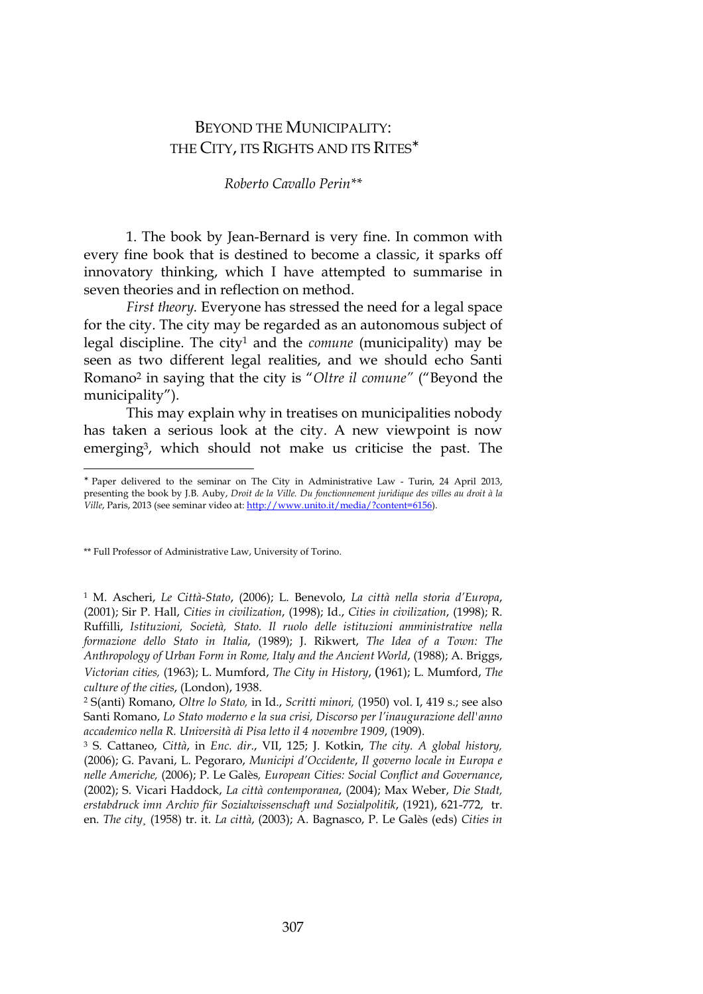## BEYOND THE MUNICIPALITY: THE CITY, ITS RIGHTS AND ITS RITES<sup>\*</sup>

## *Roberto Cavallo Perin\*\**

1. The book by Jean-Bernard is very fine. In common with every fine book that is destined to become a classic, it sparks off innovatory thinking, which I have attempted to summarise in seven theories and in reflection on method.

*First theory.* Everyone has stressed the need for a legal space for the city. The city may be regarded as an autonomous subject of legal discipline. The city<sup>1</sup> and the *comune* (municipality) may be seen as two different legal realities, and we should echo Santi Romano<sup>2</sup> in saying that the city is "*Oltre il comune"* ("Beyond the municipality").

This may explain why in treatises on municipalities nobody has taken a serious look at the city. A new viewpoint is now emerging<sup>3</sup>, which should not make us criticise the past. The

\*\* Full Professor of Administrative Law, University of Torino.

l

1 M. Ascheri, *Le Città-Stato*, (2006); L. Benevolo, *La città nella storia d'Europa*, (2001); Sir P. Hall, *Cities in civilization*, (1998); Id., *Cities in civilization*, (1998); R. Ruffilli, *Istituzioni, Società, Stato. Il ruolo delle istituzioni amministrative nella formazione dello Stato in Italia*, (1989); J. Rikwert, *The Idea of a Town: The Anthropology of Urban Form in Rome, Italy and the Ancient World*, (1988); A. Briggs, *Victorian cities,* (1963); L. Mumford, *The City in History*, (1961); L. Mumford, *The culture of the cities*, (London), 1938.

2 S(anti) Romano, *Oltre lo Stato,* in Id., *Scritti minori,* (1950) vol. I, 419 s.; see also Santi Romano, *Lo Stato moderno e la sua crisi, Discorso per l'inaugurazione dell'anno accademico nella R. Università di Pisa letto il 4 novembre 1909*, (1909).

3 S. Cattaneo, *Città*, in *Enc. dir*., VII, 125; J. Kotkin, *The city. A global history,* (2006); G. Pavani, L. Pegoraro, *Municipi d'Occidente*, *Il governo locale in Europa e nelle Americhe,* (2006); P. Le Galès*, European Cities: Social Conflict and Governance*, (2002); S. Vicari Haddock, *La città contemporanea*, (2004); Max Weber, *Die Stadt, erstabdruck imn Archiv für Sozialwissenschaft und Sozialpolitik*, (1921), 621-772, tr. en. *The city¸* (1958) tr. it. *La città*, (2003); A. Bagnasco, P. Le Galès (eds) *Cities in* 

<sup>∗</sup> Paper delivered to the seminar on The City in Administrative Law - Turin, 24 April 2013, presenting the book by J.B. Auby, *Droit de la Ville. Du fonctionnement juridique des villes au droit à la Ville*, Paris, 2013 (see seminar video at: http://www.unito.it/media/?content=6156).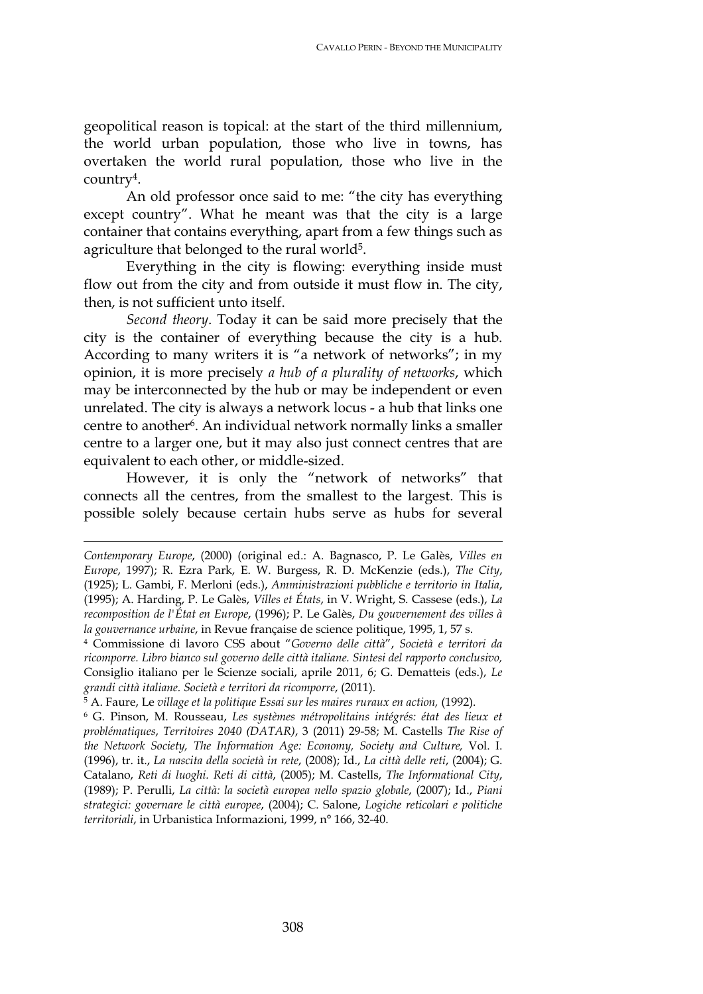geopolitical reason is topical: at the start of the third millennium, the world urban population, those who live in towns, has overtaken the world rural population, those who live in the country<sup>4</sup>.

An old professor once said to me: "the city has everything except country". What he meant was that the city is a large container that contains everything, apart from a few things such as agriculture that belonged to the rural world<sup>5</sup>.

Everything in the city is flowing: everything inside must flow out from the city and from outside it must flow in. The city, then, is not sufficient unto itself.

*Second theory*. Today it can be said more precisely that the city is the container of everything because the city is a hub. According to many writers it is "a network of networks"; in my opinion, it is more precisely *a hub of a plurality of networks*, which may be interconnected by the hub or may be independent or even unrelated. The city is always a network locus - a hub that links one centre to another<sup>6</sup>. An individual network normally links a smaller centre to a larger one, but it may also just connect centres that are equivalent to each other, or middle-sized.

However, it is only the "network of networks" that connects all the centres, from the smallest to the largest. This is possible solely because certain hubs serve as hubs for several

*Contemporary Europe*, (2000) (original ed.: A. Bagnasco, P. Le Galès, *Villes en Europe*, 1997); R. Ezra Park, E. W. Burgess, R. D. McKenzie (eds.), *The City*, (1925); L. Gambi, F. Merloni (eds.), *Amministrazioni pubbliche e territorio in Italia*, (1995); A. Harding, P. Le Galès, *Villes et États*, in V. Wright, S. Cassese (eds.), *La recomposition de l'État en Europe*, (1996); P. Le Galès, *Du gouvernement des villes à la gouvernance urbaine*, in Revue française de science politique, 1995, 1, 57 s.

<sup>4</sup> Commissione di lavoro CSS about "*Governo delle città*", *Società e territori da ricomporre. Libro bianco sul governo delle città italiane. Sintesi del rapporto conclusivo,* Consiglio italiano per le Scienze sociali, aprile 2011, 6; G. Dematteis (eds.), *Le grandi città italiane. Società e territori da ricomporre*, (2011).

<sup>&</sup>lt;sup>5</sup> A. Faure, Le village et la politique Essai sur les maires ruraux en action, (1992).

<sup>6</sup> G. Pinson, M. Rousseau, *Les systèmes métropolitains intégrés: état des lieux et problématiques*, *Territoires 2040 (DATAR)*, 3 (2011) 29-58; M. Castells *The Rise of the Network Society, The Information Age: Economy, Society and Culture,* Vol. I. (1996), tr. it., *La nascita della società in rete*, (2008); Id., *La città delle reti*, (2004); G. Catalano, *Reti di luoghi. Reti di città*, (2005); M. Castells, *The Informational City*, (1989); P. Perulli, *La città: la società europea nello spazio globale*, (2007); Id., *Piani strategici: governare le città europee*, (2004); C. Salone, *Logiche reticolari e politiche territoriali*, in Urbanistica Informazioni, 1999, n° 166, 32-40.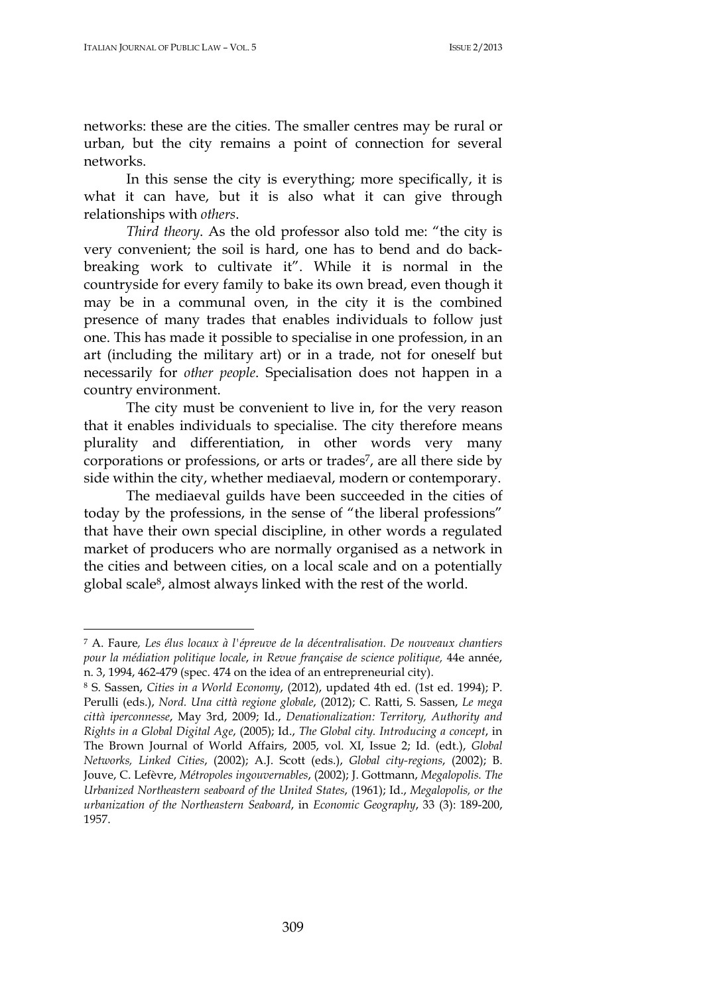$\overline{a}$ 

networks: these are the cities. The smaller centres may be rural or urban, but the city remains a point of connection for several networks.

In this sense the city is everything; more specifically, it is what it can have, but it is also what it can give through relationships with *others*.

*Third theory*. As the old professor also told me: "the city is very convenient; the soil is hard, one has to bend and do backbreaking work to cultivate it". While it is normal in the countryside for every family to bake its own bread, even though it may be in a communal oven, in the city it is the combined presence of many trades that enables individuals to follow just one. This has made it possible to specialise in one profession, in an art (including the military art) or in a trade, not for oneself but necessarily for *other people*. Specialisation does not happen in a country environment.

The city must be convenient to live in, for the very reason that it enables individuals to specialise. The city therefore means plurality and differentiation, in other words very many corporations or professions, or arts or trades<sup>7</sup>, are all there side by side within the city, whether mediaeval, modern or contemporary.

The mediaeval guilds have been succeeded in the cities of today by the professions, in the sense of "the liberal professions" that have their own special discipline, in other words a regulated market of producers who are normally organised as a network in the cities and between cities, on a local scale and on a potentially global scale<sup>8</sup>, almost always linked with the rest of the world.

<sup>7</sup> A. Faure*, Les élus locaux à l'épreuve de la décentralisation. De nouveaux chantiers pour la médiation politique locale*, *in Revue française de science politique,* 44e année, n. 3, 1994, 462-479 (spec. 474 on the idea of an entrepreneurial city).

<sup>8</sup> S. Sassen, *Cities in a World Economy*, (2012), updated 4th ed. (1st ed. 1994); P. Perulli (eds.), *Nord. Una città regione globale*, (2012); C. Ratti, S. Sassen, *Le mega città iperconnesse*, May 3rd, 2009; Id., *Denationalization: Territory, Authority and Rights in a Global Digital Age*, (2005); Id., *The Global city. Introducing a concept*, in The Brown Journal of World Affairs, 2005, vol. XI, Issue 2; Id. (edt.), *Global Networks, Linked Cities*, (2002); A.J. Scott (eds.), *Global city-regions*, (2002); B. Jouve, C. Lefèvre, *Métropoles ingouvernables*, (2002); J. Gottmann, *Megalopolis. The Urbanized Northeastern seaboard of the United States*, (1961); Id., *Megalopolis, or the urbanization of the Northeastern Seaboard*, in *Economic Geography*, 33 (3): 189-200, 1957.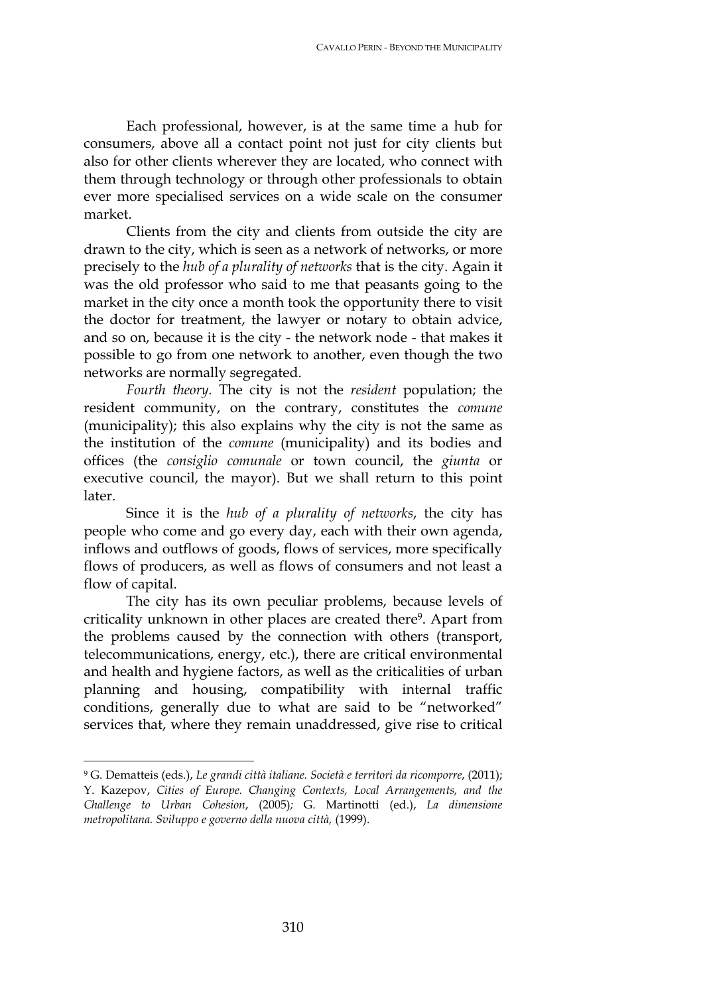Each professional, however, is at the same time a hub for consumers, above all a contact point not just for city clients but also for other clients wherever they are located, who connect with them through technology or through other professionals to obtain ever more specialised services on a wide scale on the consumer market.

Clients from the city and clients from outside the city are drawn to the city, which is seen as a network of networks, or more precisely to the *hub of a plurality of networks* that is the city. Again it was the old professor who said to me that peasants going to the market in the city once a month took the opportunity there to visit the doctor for treatment, the lawyer or notary to obtain advice, and so on, because it is the city - the network node - that makes it possible to go from one network to another, even though the two networks are normally segregated.

*Fourth theory.* The city is not the *resident* population; the resident community, on the contrary, constitutes the *comune*  (municipality); this also explains why the city is not the same as the institution of the *comune* (municipality) and its bodies and offices (the *consiglio comunale* or town council, the *giunta* or executive council, the mayor). But we shall return to this point later.

Since it is the *hub of a plurality of networks*, the city has people who come and go every day, each with their own agenda, inflows and outflows of goods, flows of services, more specifically flows of producers, as well as flows of consumers and not least a flow of capital.

The city has its own peculiar problems, because levels of criticality unknown in other places are created there<sup>9</sup>. Apart from the problems caused by the connection with others (transport, telecommunications, energy, etc.), there are critical environmental and health and hygiene factors, as well as the criticalities of urban planning and housing, compatibility with internal traffic conditions, generally due to what are said to be "networked" services that, where they remain unaddressed, give rise to critical

<sup>9</sup> G. Dematteis (eds.), *Le grandi città italiane. Società e territori da ricomporre*, (2011); Y. Kazepov, *Cities of Europe. Changing Contexts, Local Arrangements, and the Challenge to Urban Cohesion*, (2005)*;* G. Martinotti (ed.), *La dimensione metropolitana. Sviluppo e governo della nuova città,* (1999).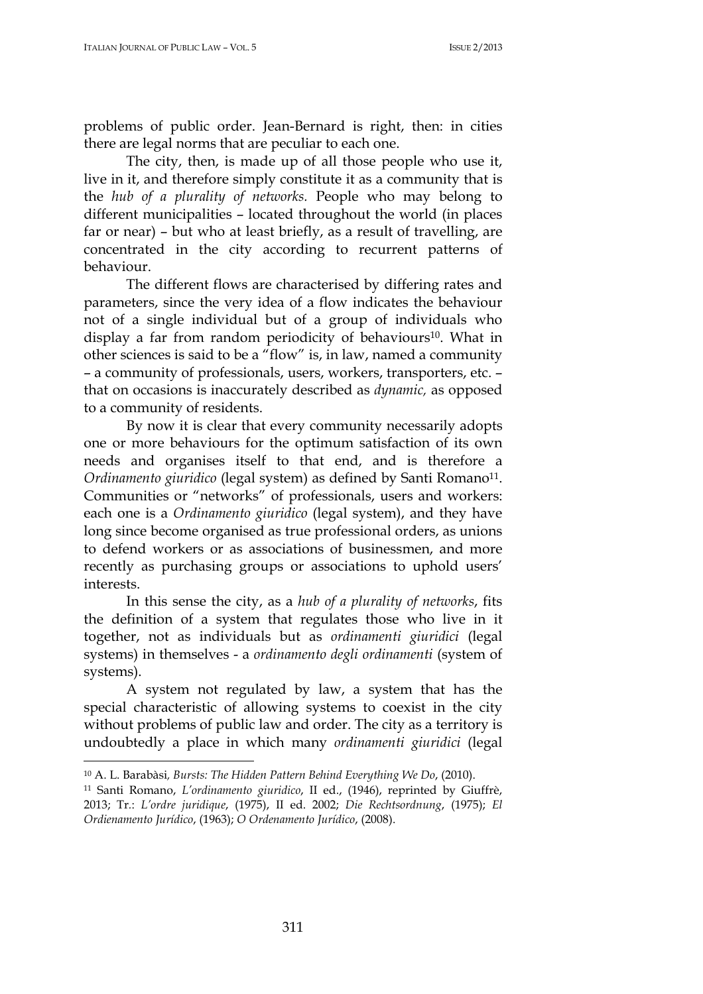problems of public order. Jean-Bernard is right, then: in cities there are legal norms that are peculiar to each one.

The city, then, is made up of all those people who use it, live in it, and therefore simply constitute it as a community that is the *hub of a plurality of networks.* People who may belong to different municipalities – located throughout the world (in places far or near) – but who at least briefly, as a result of travelling, are concentrated in the city according to recurrent patterns of behaviour.

The different flows are characterised by differing rates and parameters, since the very idea of a flow indicates the behaviour not of a single individual but of a group of individuals who display a far from random periodicity of behaviours<sup>10</sup>. What in other sciences is said to be a "flow" is, in law, named a community – a community of professionals, users, workers, transporters, etc. – that on occasions is inaccurately described as *dynamic,* as opposed to a community of residents.

By now it is clear that every community necessarily adopts one or more behaviours for the optimum satisfaction of its own needs and organises itself to that end, and is therefore a *Ordinamento giuridico* (legal system) as defined by Santi Romano<sup>11</sup>. Communities or "networks" of professionals, users and workers: each one is a *Ordinamento giuridico* (legal system), and they have long since become organised as true professional orders, as unions to defend workers or as associations of businessmen, and more recently as purchasing groups or associations to uphold users' interests.

In this sense the city, as a *hub of a plurality of networks*, fits the definition of a system that regulates those who live in it together, not as individuals but as *ordinamenti giuridici* (legal systems) in themselves - a *ordinamento degli ordinamenti* (system of systems).

A system not regulated by law, a system that has the special characteristic of allowing systems to coexist in the city without problems of public law and order. The city as a territory is undoubtedly a place in which many *ordinamenti giuridici* (legal

<sup>10</sup> A. L. Barabàsi*, Bursts: The Hidden Pattern Behind Everything We Do*, (2010).

<sup>11</sup> Santi Romano, *L'ordinamento giuridico*, II ed., (1946), reprinted by Giuffrè, 2013; Tr*.*: *L'ordre juridique*, (1975), II ed. 2002; *Die Rechtsordnung*, (1975); *El Ordienamento Jurídico*, (1963); *O Ordenamento Jurídico*, (2008).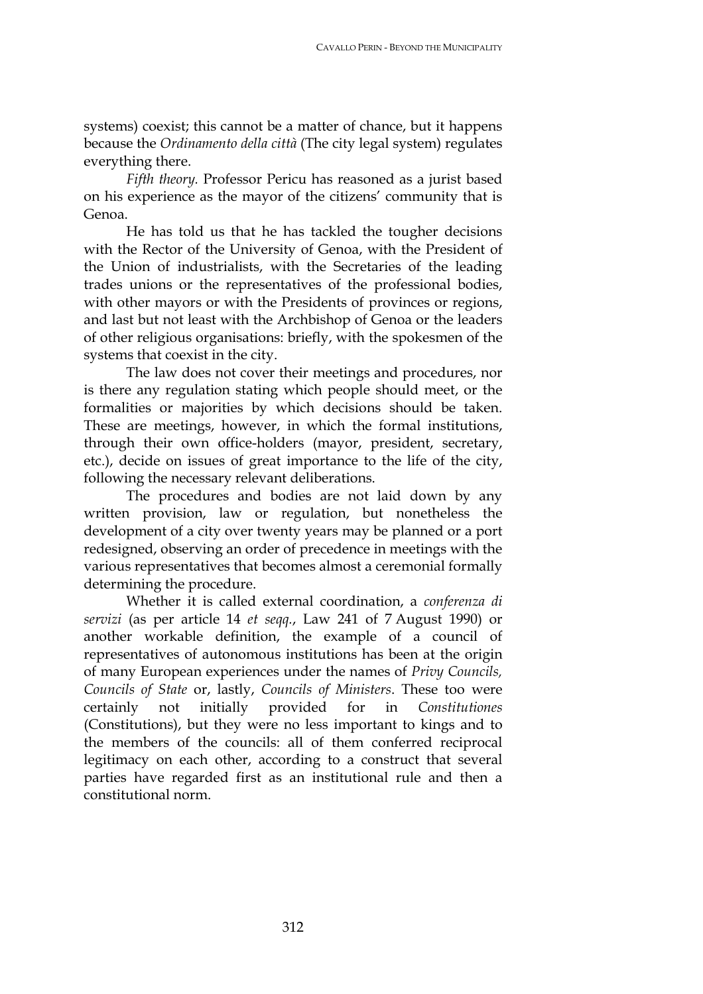systems) coexist; this cannot be a matter of chance, but it happens because the *Ordinamento della città* (The city legal system) regulates everything there.

*Fifth theory.* Professor Pericu has reasoned as a jurist based on his experience as the mayor of the citizens' community that is Genoa.

He has told us that he has tackled the tougher decisions with the Rector of the University of Genoa, with the President of the Union of industrialists, with the Secretaries of the leading trades unions or the representatives of the professional bodies, with other mayors or with the Presidents of provinces or regions, and last but not least with the Archbishop of Genoa or the leaders of other religious organisations: briefly, with the spokesmen of the systems that coexist in the city.

The law does not cover their meetings and procedures, nor is there any regulation stating which people should meet, or the formalities or majorities by which decisions should be taken. These are meetings, however, in which the formal institutions, through their own office-holders (mayor, president, secretary, etc.), decide on issues of great importance to the life of the city, following the necessary relevant deliberations.

The procedures and bodies are not laid down by any written provision, law or regulation, but nonetheless the development of a city over twenty years may be planned or a port redesigned, observing an order of precedence in meetings with the various representatives that becomes almost a ceremonial formally determining the procedure.

Whether it is called external coordination, a *conferenza di servizi* (as per article 14 *et seqq.*, Law 241 of 7 August 1990) or another workable definition, the example of a council of representatives of autonomous institutions has been at the origin of many European experiences under the names of *Privy Councils, Councils of State* or, lastly, *Councils of Ministers*. These too were certainly not initially provided for in *Constitutiones* (Constitutions), but they were no less important to kings and to the members of the councils: all of them conferred reciprocal legitimacy on each other, according to a construct that several parties have regarded first as an institutional rule and then a constitutional norm.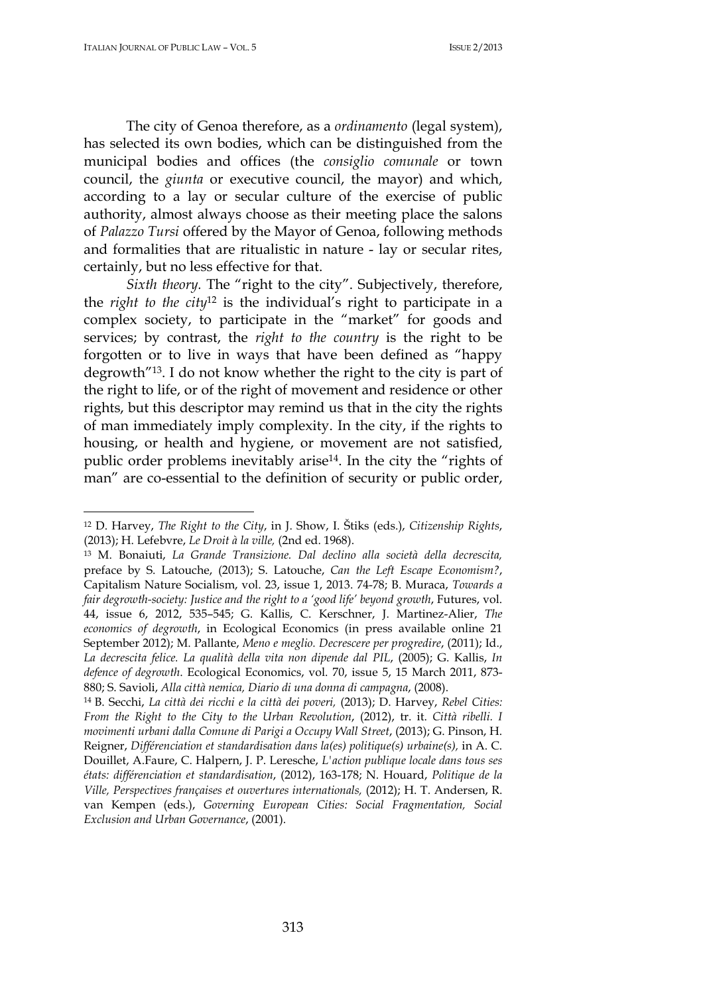$\overline{a}$ 

The city of Genoa therefore, as a *ordinamento* (legal system), has selected its own bodies, which can be distinguished from the municipal bodies and offices (the *consiglio comunale* or town council, the *giunta* or executive council, the mayor) and which, according to a lay or secular culture of the exercise of public authority, almost always choose as their meeting place the salons of *Palazzo Tursi* offered by the Mayor of Genoa, following methods and formalities that are ritualistic in nature - lay or secular rites, certainly, but no less effective for that.

*Sixth theory.* The "right to the city". Subjectively, therefore, the *right to the city*<sup>12</sup> is the individual's right to participate in a complex society, to participate in the "market" for goods and services; by contrast, the *right to the country* is the right to be forgotten or to live in ways that have been defined as "happy degrowth"<sup>13</sup>. I do not know whether the right to the city is part of the right to life, or of the right of movement and residence or other rights, but this descriptor may remind us that in the city the rights of man immediately imply complexity. In the city, if the rights to housing, or health and hygiene, or movement are not satisfied, public order problems inevitably arise<sup>14</sup>. In the city the "rights of man" are co-essential to the definition of security or public order,

<sup>12</sup> D. Harvey, *The Right to the City*, in J. Show, I. Štiks (eds.), *Citizenship Rights*, (2013); H. Lefebvre, *Le Droit à la ville,* (2nd ed. 1968).

<sup>13</sup> M. Bonaiuti, *La Grande Transizione. Dal declino alla società della decrescita,*  preface by S. Latouche, (2013); S. Latouche, *Can the Left Escape Economism?*, Capitalism Nature Socialism, vol. 23, issue 1, 2013. 74-78; B. Muraca, *Towards a fair degrowth-society: Justice and the right to a 'good life' beyond growth*, Futures, vol. 44, issue 6, 2012, 535–545; G. Kallis, C. Kerschner, J. Martinez-Alier, *The economics of degrowth*, in Ecological Economics (in press available online 21 September 2012); M. Pallante, *Meno e meglio. Decrescere per progredire*, (2011); Id., *La decrescita felice. La qualità della vita non dipende dal PIL*, (2005); G. Kallis, *In defence of degrowth*. Ecological Economics, vol. 70, issue 5, 15 March 2011, 873- 880; S. Savioli, *Alla città nemica, Diario di una donna di campagna*, (2008).

<sup>14</sup>B. Secchi, *La città dei ricchi e la città dei poveri,* (2013); D. Harvey, *Rebel Cities: From the Right to the City to the Urban Revolution*, (2012), tr. it. *Città ribelli. I movimenti urbani dalla Comune di Parigi a Occupy Wall Street*, (2013); G. Pinson, H. Reigner, *Différenciation et standardisation dans la(es) politique(s) urbaine(s),* in A. C. Douillet, A.Faure, C. Halpern, J. P. Leresche, *L'action publique locale dans tous ses états: différenciation et standardisation*, (2012), 163-178; N. Houard, *Politique de la Ville, Perspectives françaises et ouvertures internationals,* (2012); H. T. Andersen, R. van Kempen (eds.), *Governing European Cities: Social Fragmentation, Social Exclusion and Urban Governance*, (2001).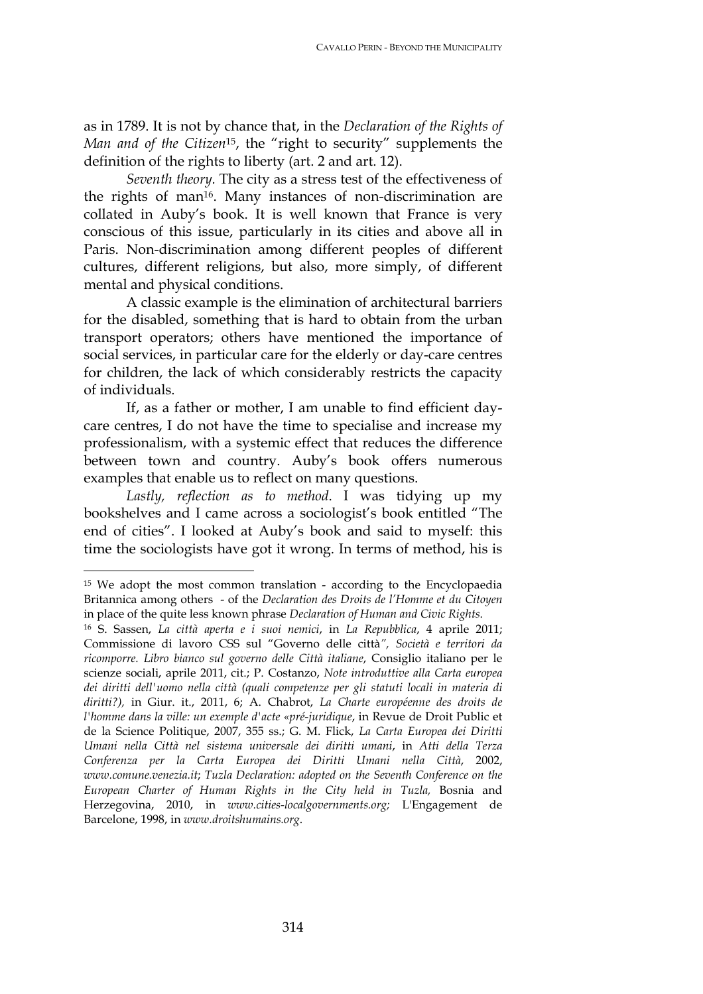as in 1789. It is not by chance that, in the *Declaration of the Rights of Man and of the Citizen*<sup>15</sup>, the "right to security" supplements the definition of the rights to liberty (art. 2 and art. 12).

*Seventh theory.* The city as a stress test of the effectiveness of the rights of man<sup>16</sup>. Many instances of non-discrimination are collated in Auby's book. It is well known that France is very conscious of this issue, particularly in its cities and above all in Paris. Non-discrimination among different peoples of different cultures, different religions, but also, more simply, of different mental and physical conditions.

A classic example is the elimination of architectural barriers for the disabled, something that is hard to obtain from the urban transport operators; others have mentioned the importance of social services, in particular care for the elderly or day-care centres for children, the lack of which considerably restricts the capacity of individuals.

If, as a father or mother, I am unable to find efficient daycare centres, I do not have the time to specialise and increase my professionalism, with a systemic effect that reduces the difference between town and country. Auby's book offers numerous examples that enable us to reflect on many questions.

*Lastly, reflection as to method*. I was tidying up my bookshelves and I came across a sociologist's book entitled "The end of cities". I looked at Auby's book and said to myself: this time the sociologists have got it wrong. In terms of method, his is

<sup>&</sup>lt;sup>15</sup> We adopt the most common translation - according to the Encyclopaedia Britannica among others - of the *Declaration des Droits de l'Homme et du Citoyen* in place of the quite less known phrase *Declaration of Human and Civic Rights*.

<sup>16</sup> S. Sassen, *La città aperta e i suoi nemici*, in *La Repubblica*, 4 aprile 2011; Commissione di lavoro CSS sul "Governo delle città*", Società e territori da ricomporre. Libro bianco sul governo delle Città italiane*, Consiglio italiano per le scienze sociali, aprile 2011, cit.; P. Costanzo, *Note introduttive alla Carta europea dei diritti dell'uomo nella città (quali competenze per gli statuti locali in materia di diritti?),* in Giur. it., 2011, 6; A. Chabrot, *La Charte européenne des droits de l'homme dans la ville: un exemple d'acte «pré-juridique*, in Revue de Droit Public et de la Science Politique, 2007, 355 ss.; G. M. Flick, *La Carta Europea dei Diritti Umani nella Città nel sistema universale dei diritti umani*, in *Atti della Terza Conferenza per la Carta Europea dei Diritti Umani nella Città*, 2002, *www.comune.venezia.it*; *Tuzla Declaration: adopted on the Seventh Conference on the European Charter of Human Rights in the City held in Tuzla,* Bosnia and Herzegovina, 2010, in *www.cities-localgovernments.org;* L'Engagement de Barcelone, 1998, in *www.droitshumains.org*.